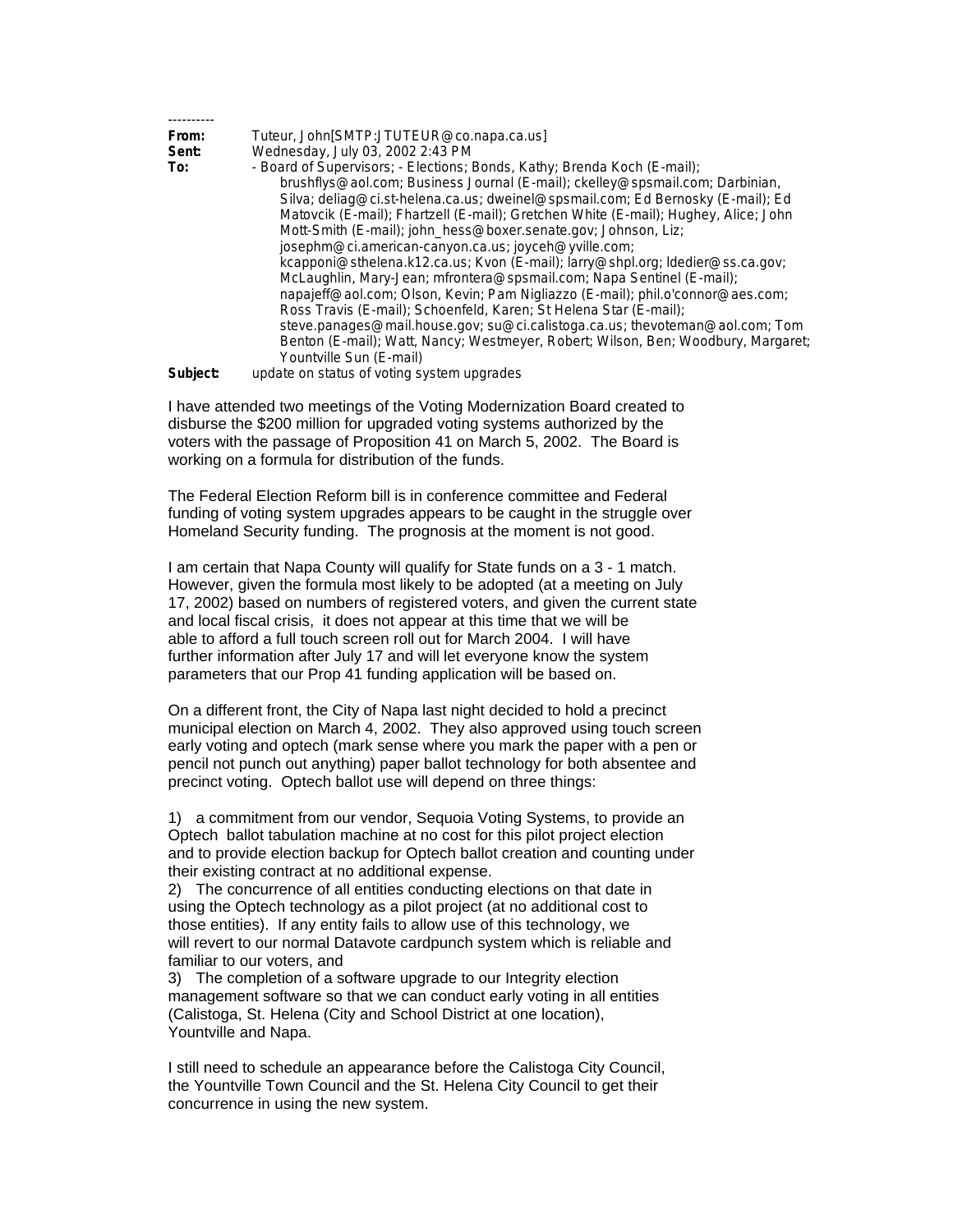| From:    | Tuteur, John[SMTP:JTUTEUR@co.napa.ca.us]                                            |
|----------|-------------------------------------------------------------------------------------|
| Sent:    | Wednesday, July 03, 2002 2:43 PM                                                    |
| To:      | - Board of Supervisors; - Elections; Bonds, Kathy; Brenda Koch (E-mail);            |
|          | brushflys@aol.com; Business Journal (E-mail); ckelley@spsmail.com; Darbinian,       |
|          | Silva; deliag@ci.st-helena.ca.us; dweinel@spsmail.com; Ed Bernosky (E-mail); Ed     |
|          | Matovcik (E-mail); Fhartzell (E-mail); Gretchen White (E-mail); Hughey, Alice; John |
|          | Mott-Smith (E-mail); john_hess@boxer.senate.gov; Johnson, Liz;                      |
|          | josephm@ci.american-canyon.ca.us; joyceh@yville.com;                                |
|          | kcapponi@sthelena.k12.ca.us; Kvon (E-mail); larry@shpl.org; ldedier@ss.ca.gov;      |
|          | McLaughlin, Mary-Jean; mfrontera@spsmail.com; Napa Sentinel (E-mail);               |
|          | napajeff@aol.com; Olson, Kevin; Pam Nigliazzo (E-mail); phil.o'connor@aes.com;      |
|          | Ross Travis (E-mail); Schoenfeld, Karen; St Helena Star (E-mail);                   |
|          | steve.panages@mail.house.gov; su@ci.calistoga.ca.us; thevoteman@aol.com; Tom        |
|          | Benton (E-mail); Watt, Nancy; Westmeyer, Robert; Wilson, Ben; Woodbury, Margaret;   |
|          | Yountville Sun (E-mail)                                                             |
| Subject: | enhanni motava politovito airkta no gtahori                                         |

**Subject:** update on status of voting system upgrades

I have attended two meetings of the Voting Modernization Board created to disburse the \$200 million for upgraded voting systems authorized by the voters with the passage of Proposition 41 on March 5, 2002. The Board is working on a formula for distribution of the funds.

The Federal Election Reform bill is in conference committee and Federal funding of voting system upgrades appears to be caught in the struggle over Homeland Security funding. The prognosis at the moment is not good.

I am certain that Napa County will qualify for State funds on a 3 - 1 match. However, given the formula most likely to be adopted (at a meeting on July 17, 2002) based on numbers of registered voters, and given the current state and local fiscal crisis, it does not appear at this time that we will be able to afford a full touch screen roll out for March 2004. I will have further information after July 17 and will let everyone know the system parameters that our Prop 41 funding application will be based on.

On a different front, the City of Napa last night decided to hold a precinct municipal election on March 4, 2002. They also approved using touch screen early voting and optech (mark sense where you mark the paper with a pen or pencil not punch out anything) paper ballot technology for both absentee and precinct voting. Optech ballot use will depend on three things:

1) a commitment from our vendor, Sequoia Voting Systems, to provide an Optech ballot tabulation machine at no cost for this pilot project election and to provide election backup for Optech ballot creation and counting under their existing contract at no additional expense.

2) The concurrence of all entities conducting elections on that date in using the Optech technology as a pilot project (at no additional cost to those entities). If any entity fails to allow use of this technology, we will revert to our normal Datavote cardpunch system which is reliable and familiar to our voters, and

3) The completion of a software upgrade to our Integrity election management software so that we can conduct early voting in all entities (Calistoga, St. Helena (City and School District at one location), Yountville and Napa.

I still need to schedule an appearance before the Calistoga City Council, the Yountville Town Council and the St. Helena City Council to get their concurrence in using the new system.